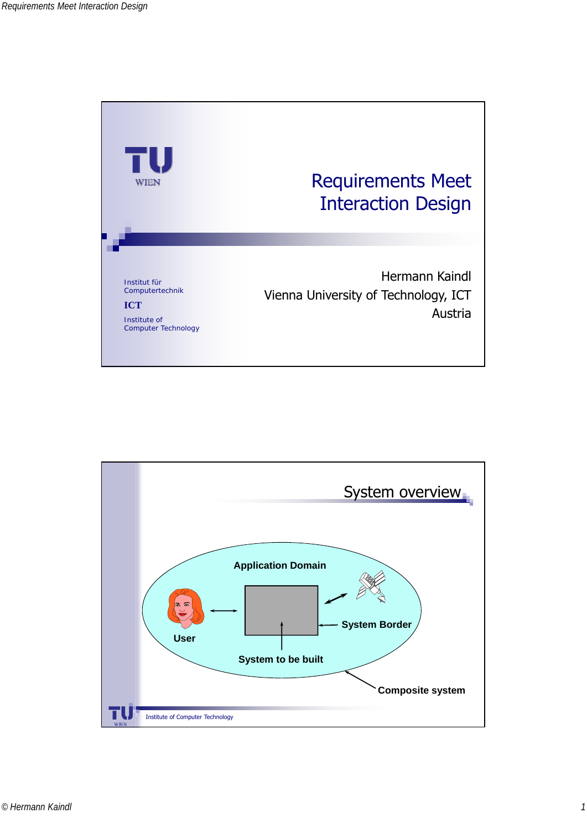

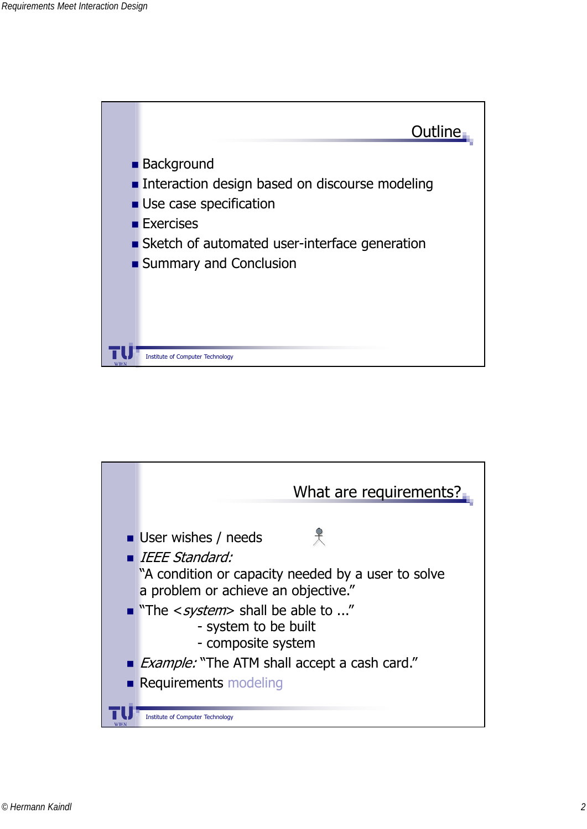

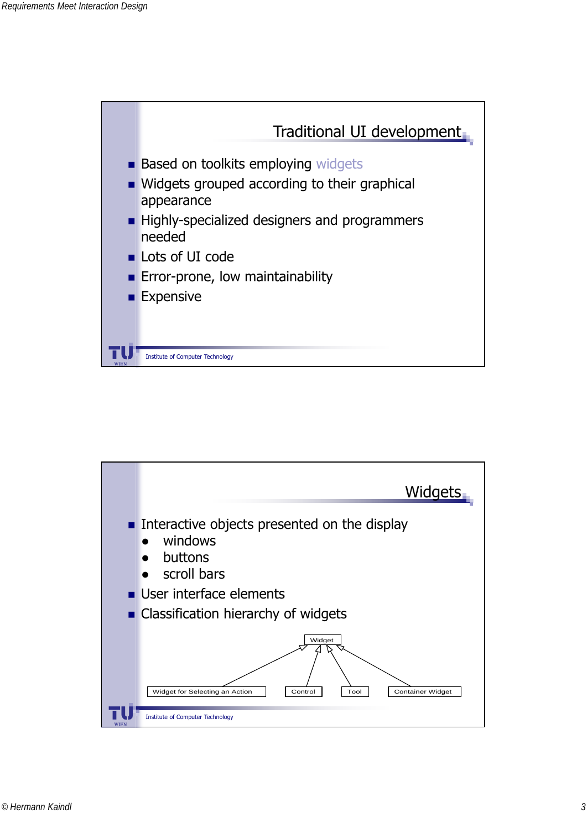

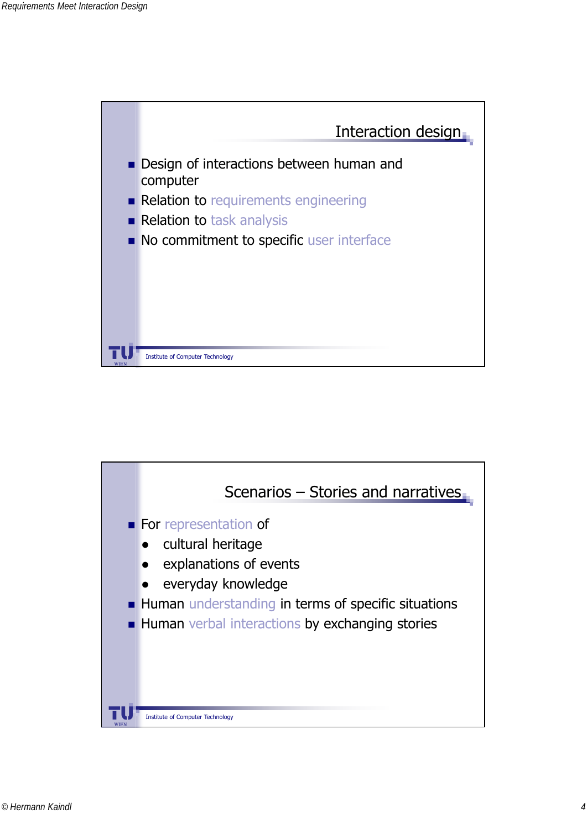

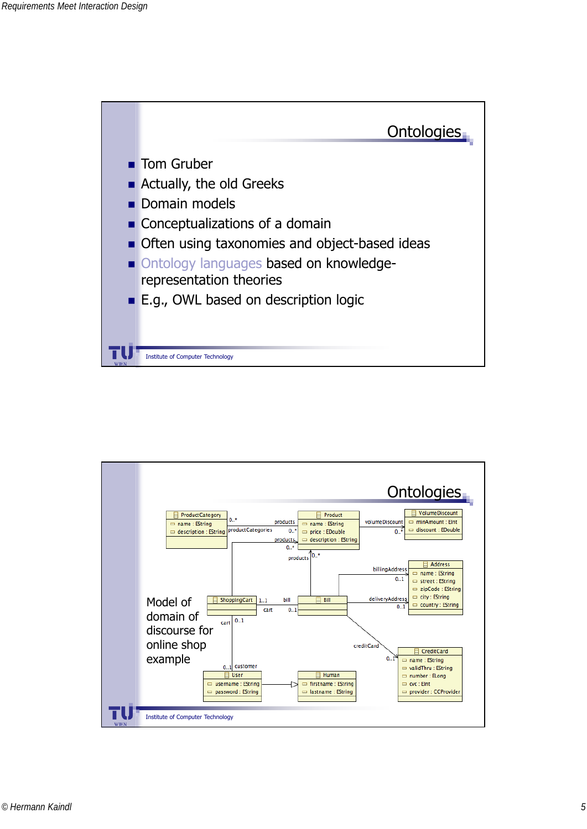

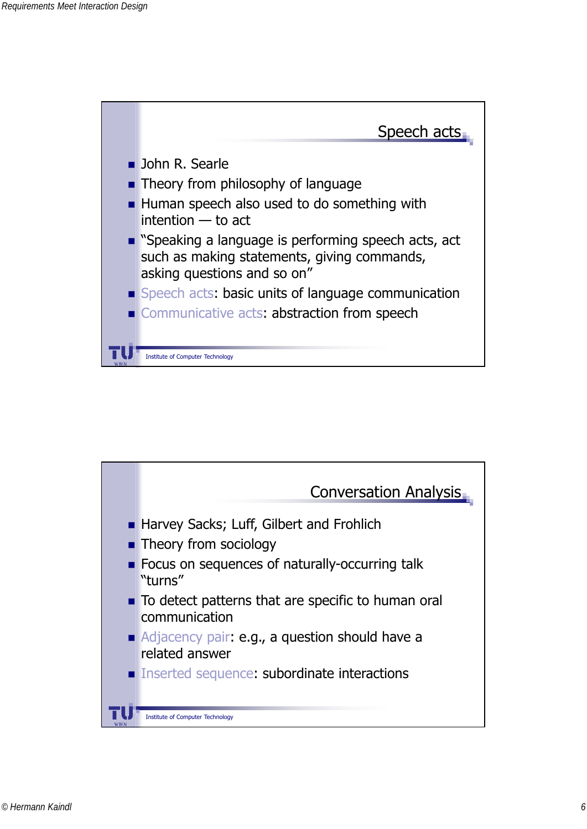

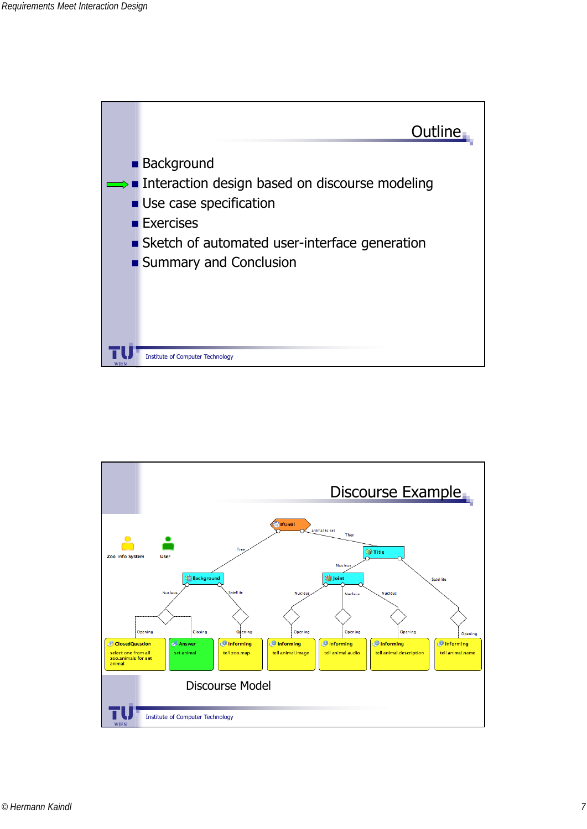

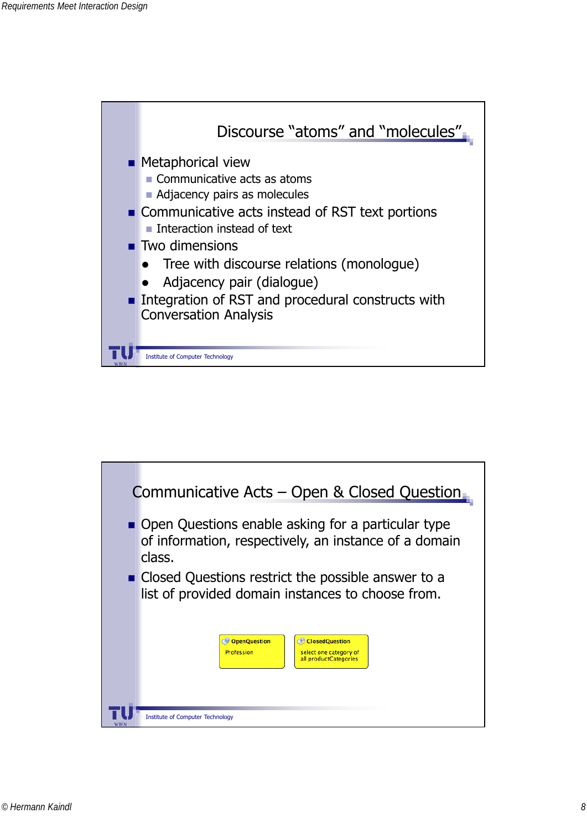

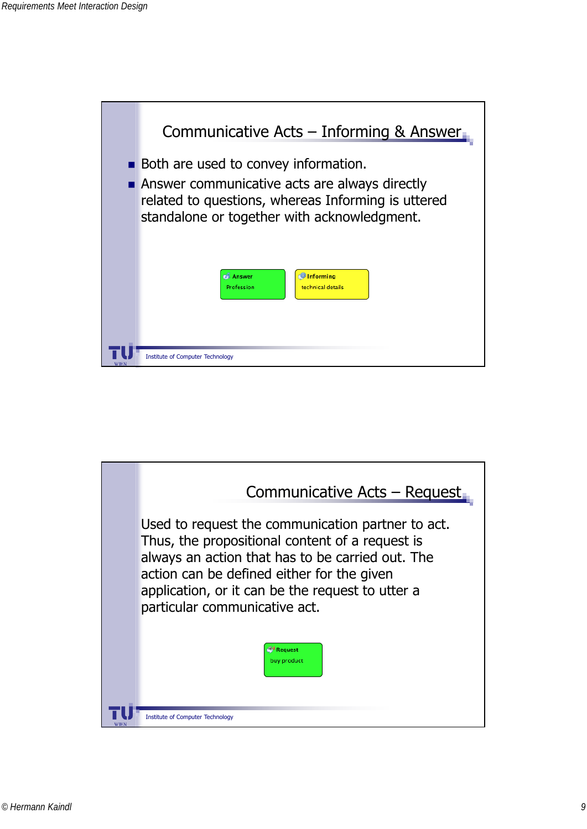

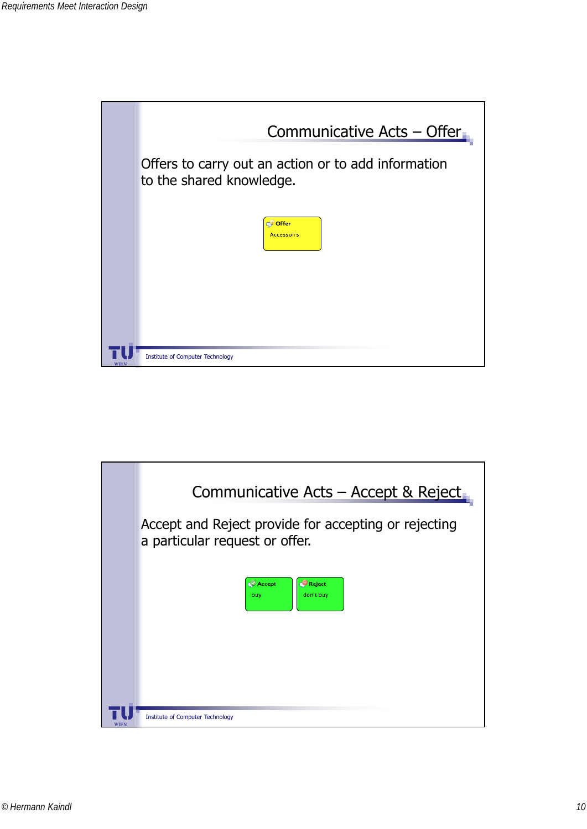

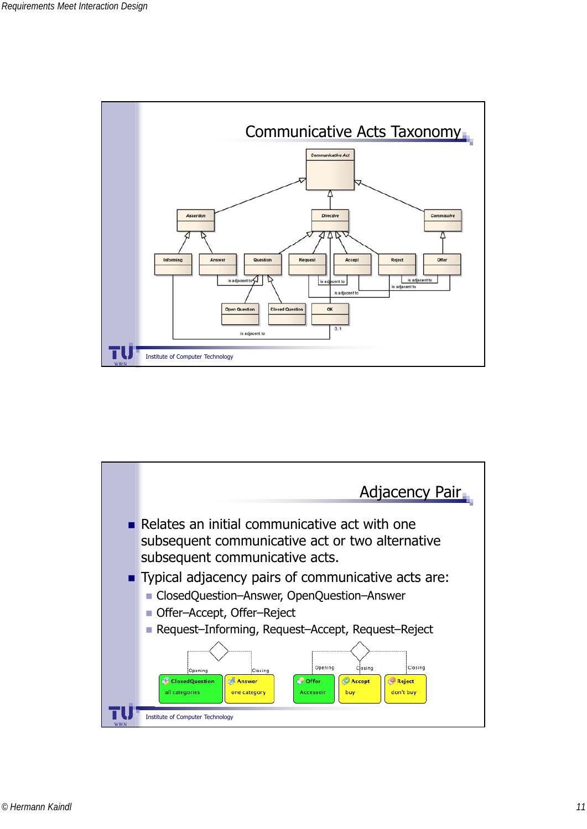

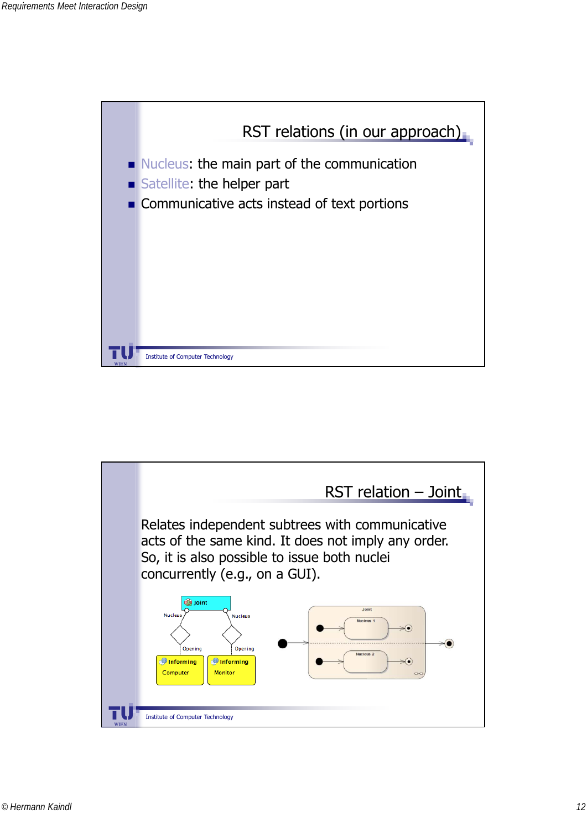

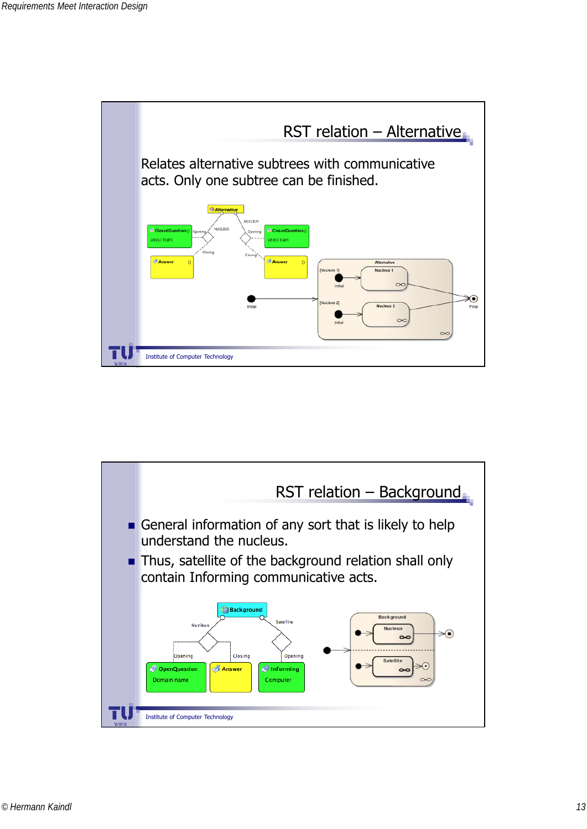

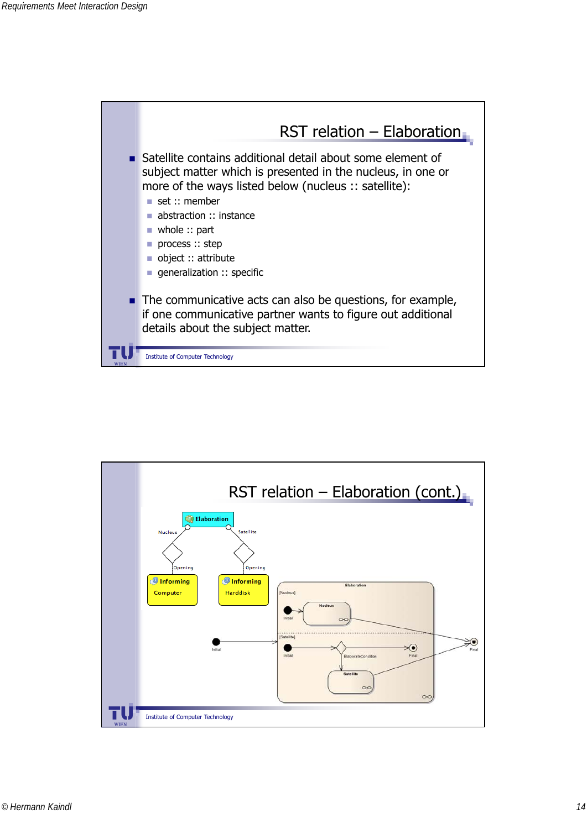

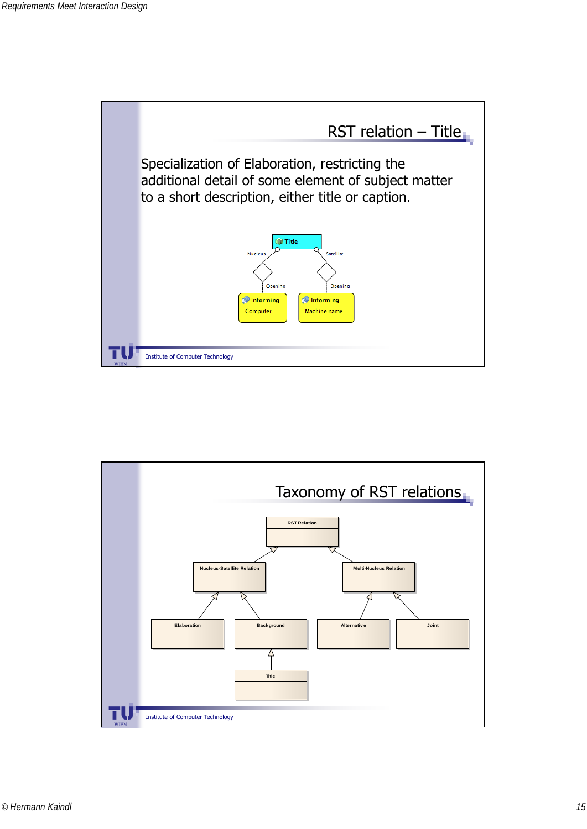

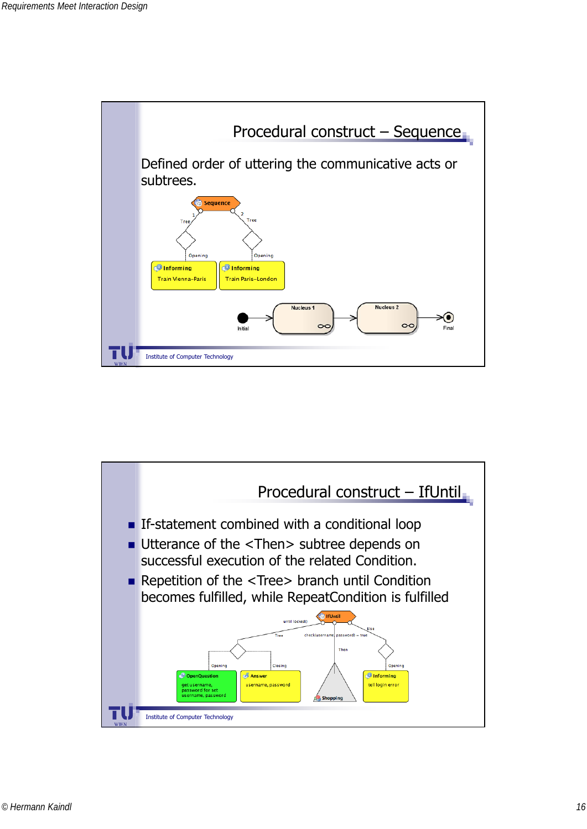

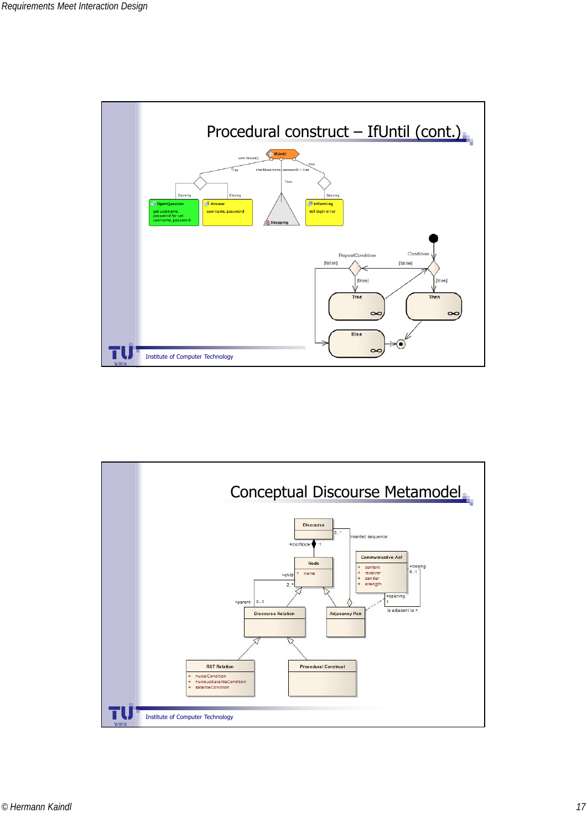

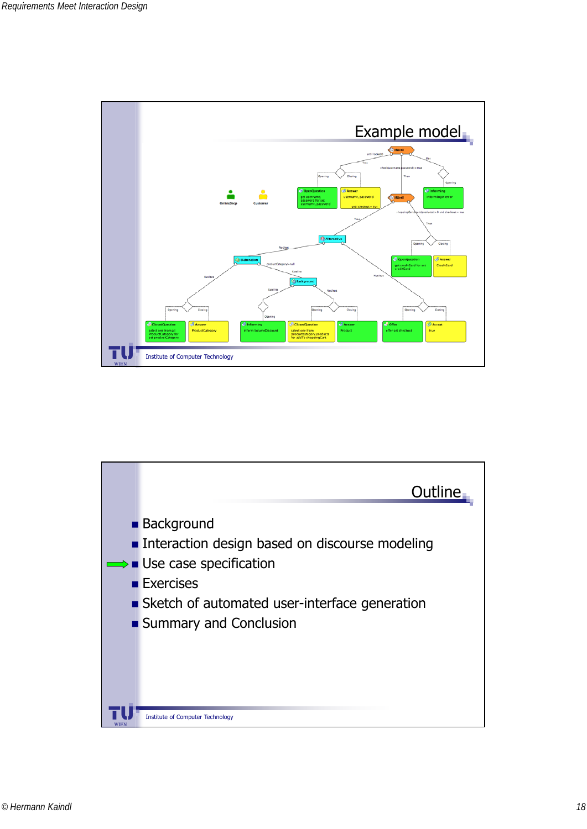

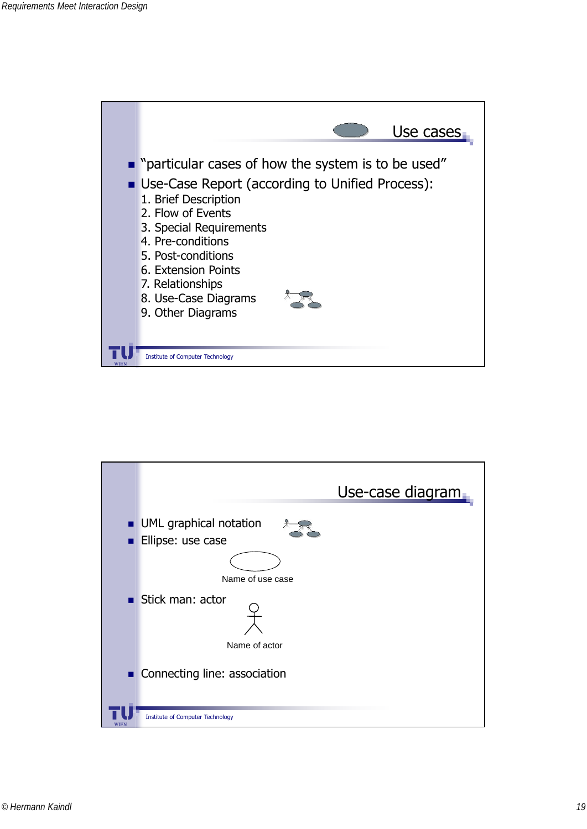

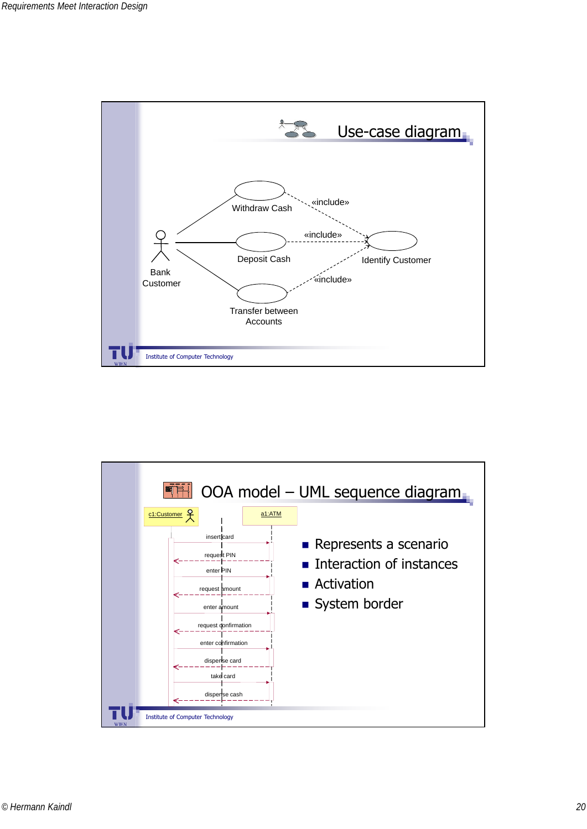

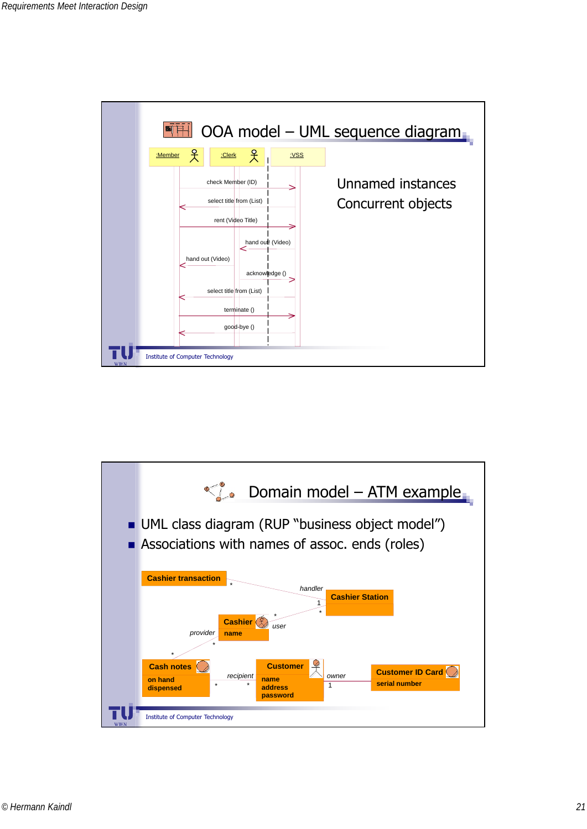

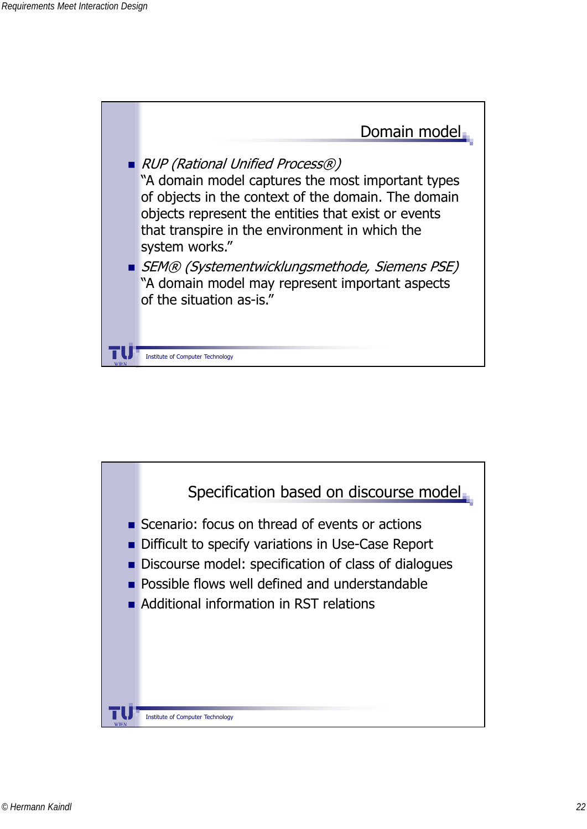

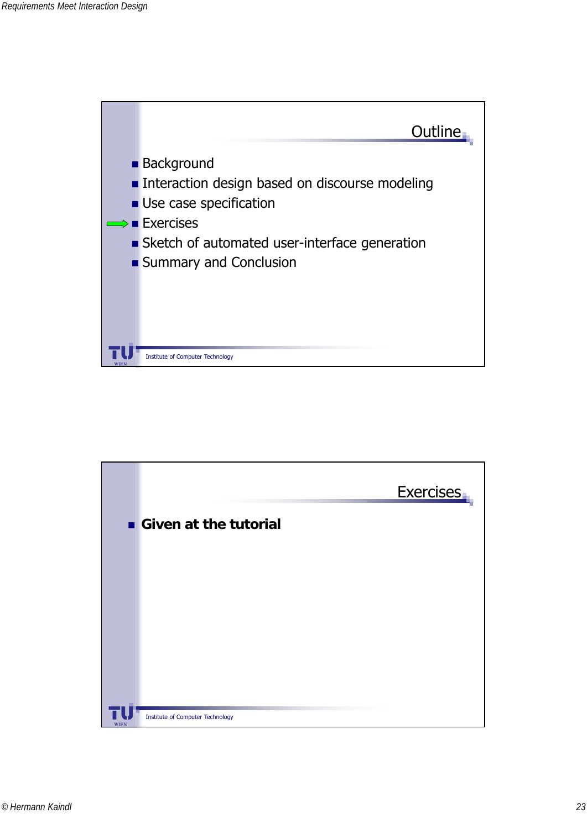

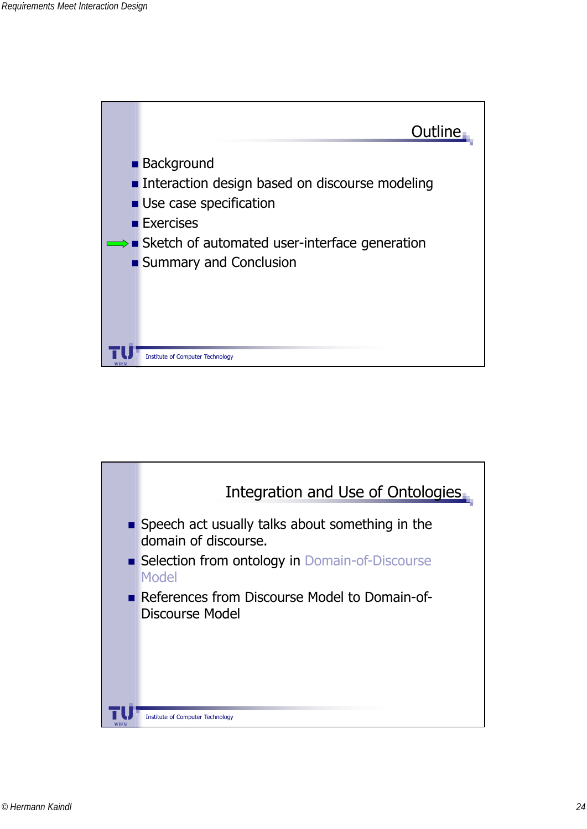

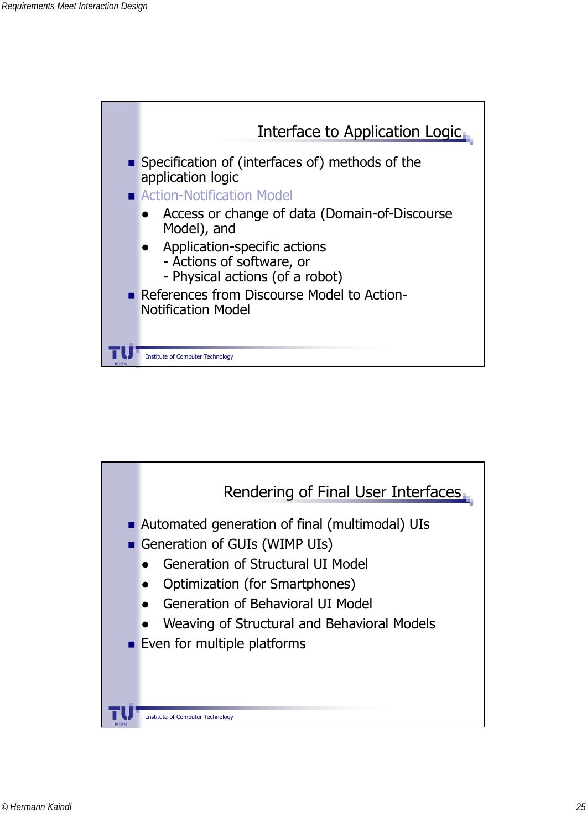

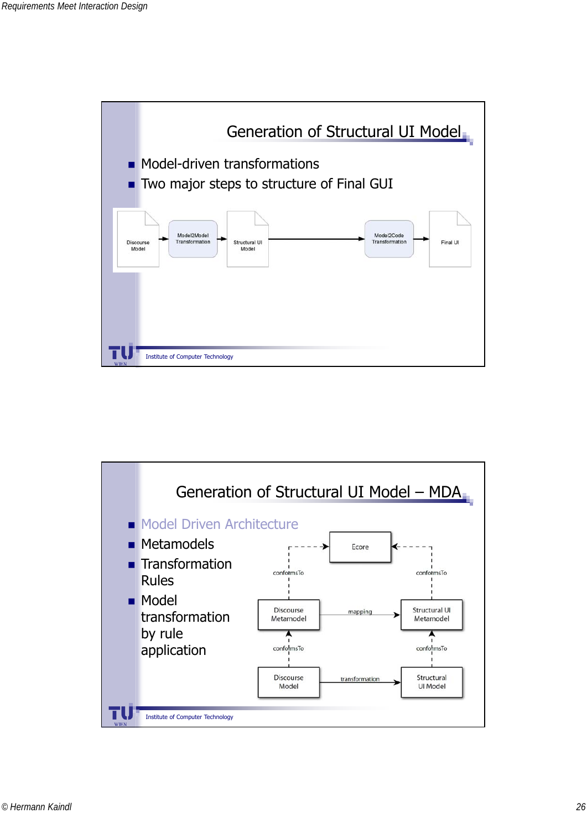

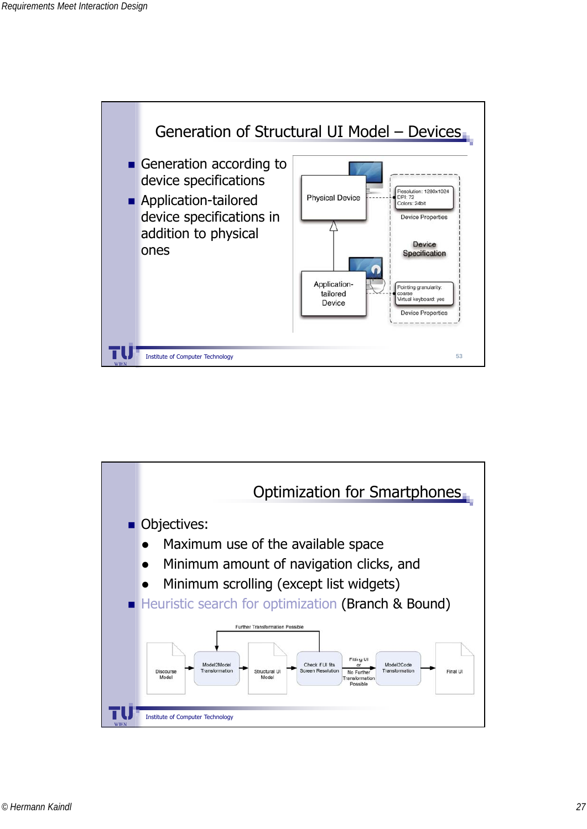

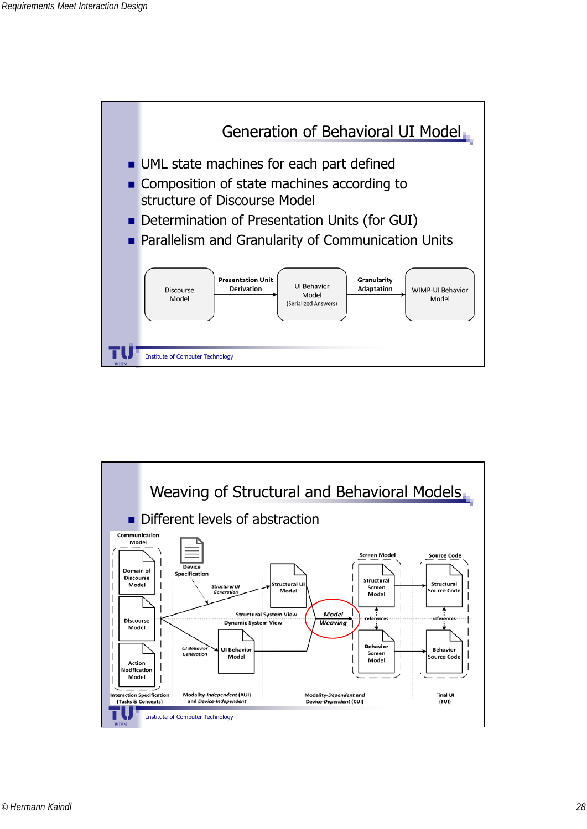

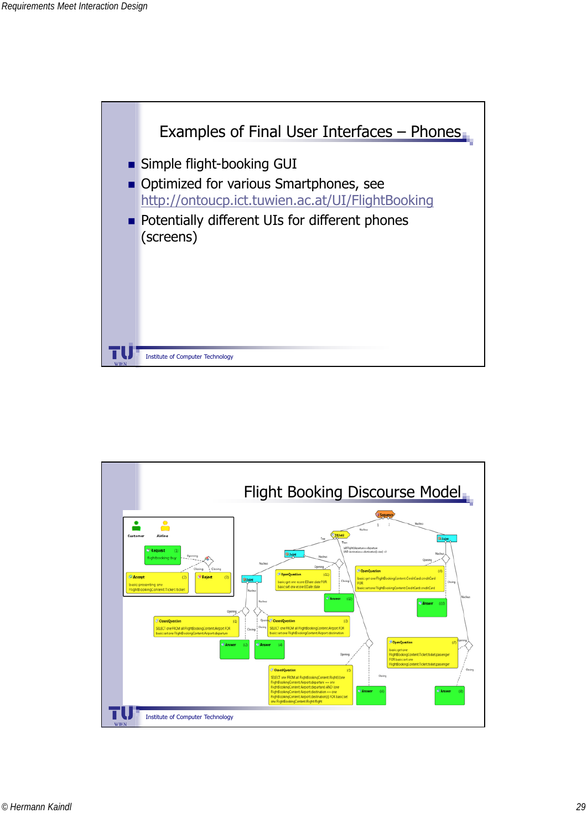

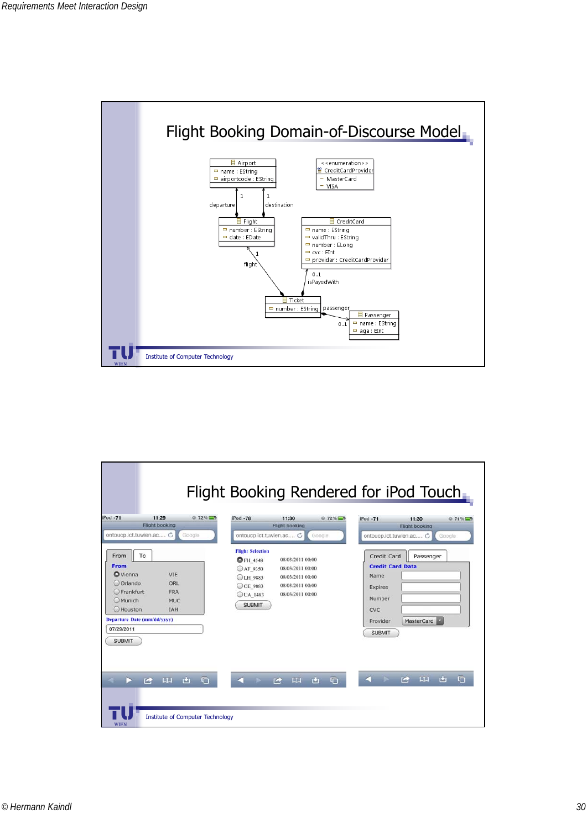

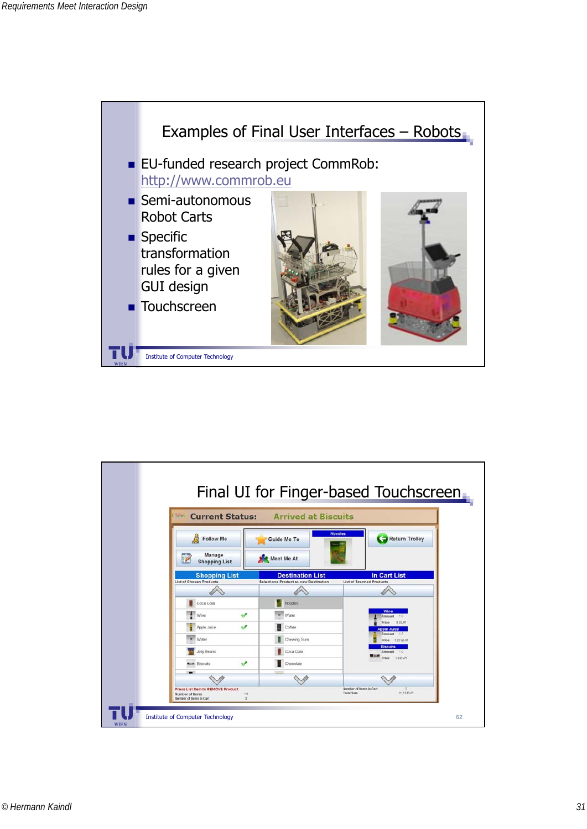

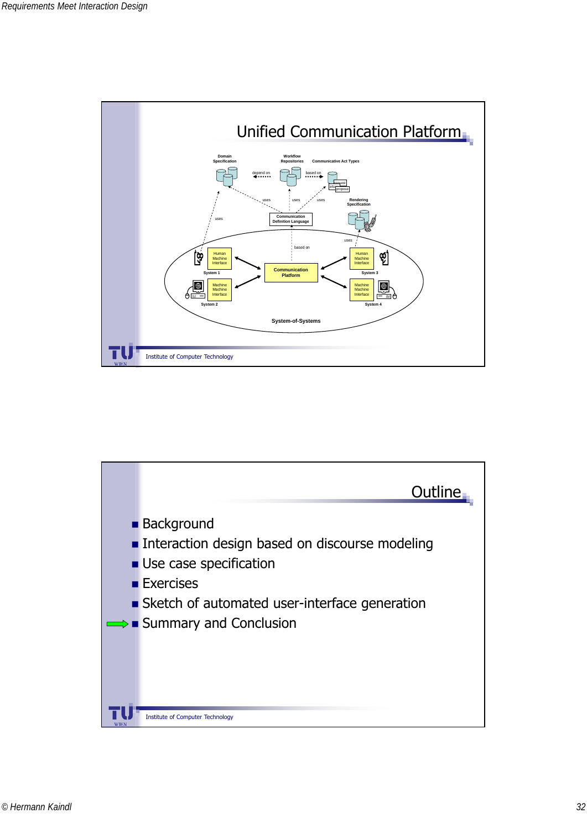

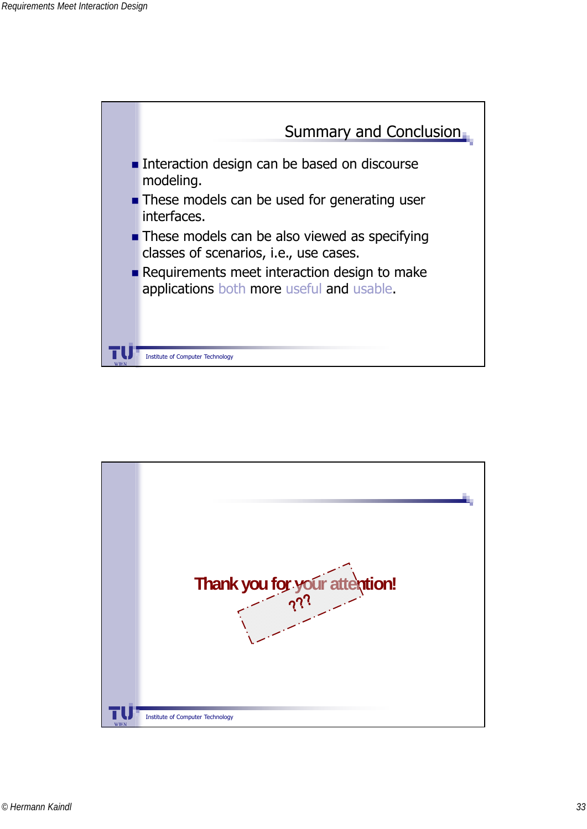

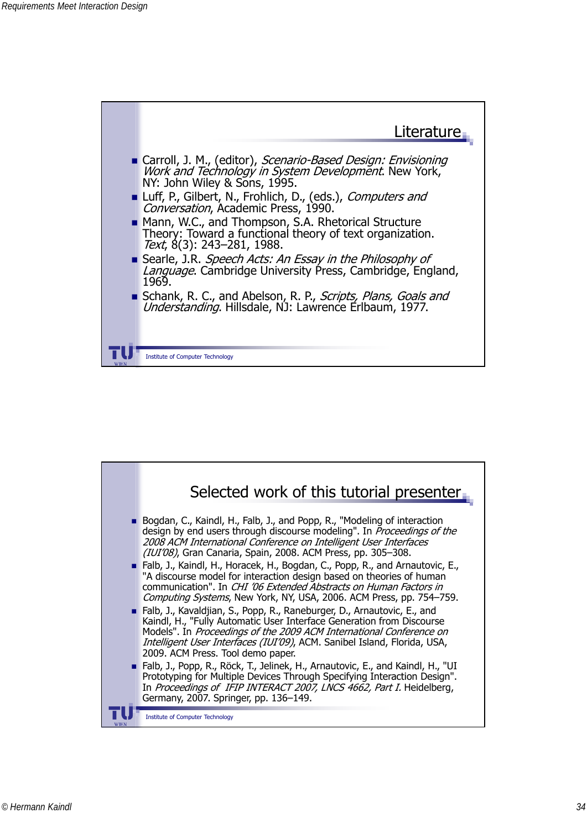